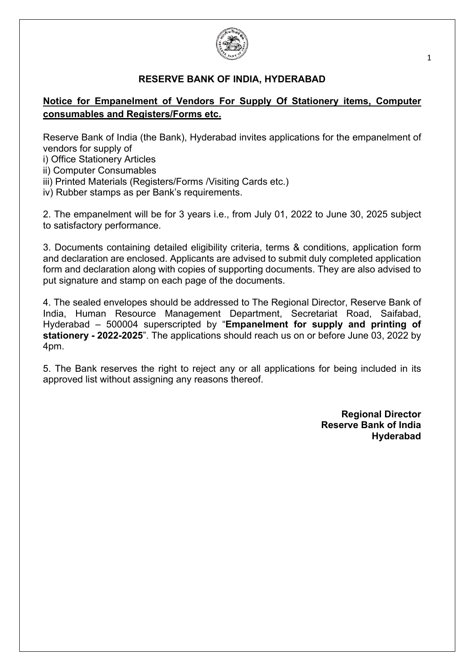

#### **RESERVE BANK OF INDIA, HYDERABAD**

# **Notice for Empanelment of Vendors For Supply Of Stationery items, Computer consumables and Registers/Forms etc.**

Reserve Bank of India (the Bank), Hyderabad invites applications for the empanelment of vendors for supply of

i) Office Stationery Articles

ii) Computer Consumables

iii) Printed Materials (Registers/Forms /Visiting Cards etc.)

iv) Rubber stamps as per Bank's requirements.

2. The empanelment will be for 3 years i.e., from July 01, 2022 to June 30, 2025 subject to satisfactory performance.

3. Documents containing detailed eligibility criteria, terms & conditions, application form and declaration are enclosed. Applicants are advised to submit duly completed application form and declaration along with copies of supporting documents. They are also advised to put signature and stamp on each page of the documents.

4. The sealed envelopes should be addressed to The Regional Director, Reserve Bank of India, Human Resource Management Department, Secretariat Road, Saifabad, Hyderabad – 500004 superscripted by "**Empanelment for supply and printing of stationery - 2022-2025**". The applications should reach us on or before June 03, 2022 by 4pm.

5. The Bank reserves the right to reject any or all applications for being included in its approved list without assigning any reasons thereof.

> **Regional Director Reserve Bank of India Hyderabad**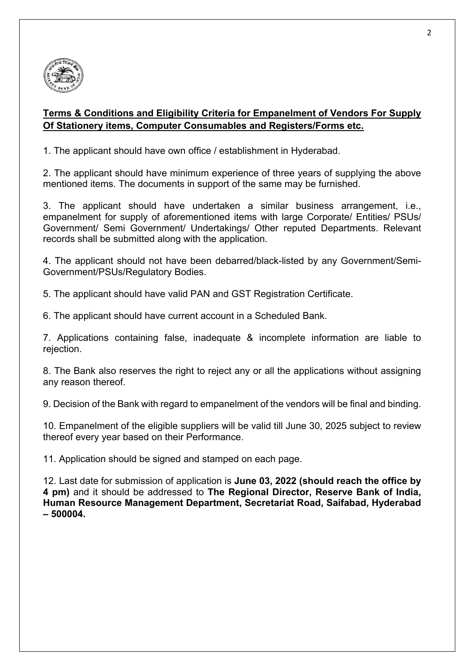

# **Terms & Conditions and Eligibility Criteria for Empanelment of Vendors For Supply Of Stationery items, Computer Consumables and Registers/Forms etc.**

1. The applicant should have own office / establishment in Hyderabad.

2. The applicant should have minimum experience of three years of supplying the above mentioned items. The documents in support of the same may be furnished.

3. The applicant should have undertaken a similar business arrangement, i.e., empanelment for supply of aforementioned items with large Corporate/ Entities/ PSUs/ Government/ Semi Government/ Undertakings/ Other reputed Departments. Relevant records shall be submitted along with the application.

4. The applicant should not have been debarred/black-listed by any Government/Semi-Government/PSUs/Regulatory Bodies.

5. The applicant should have valid PAN and GST Registration Certificate.

6. The applicant should have current account in a Scheduled Bank.

7. Applications containing false, inadequate & incomplete information are liable to rejection.

8. The Bank also reserves the right to reject any or all the applications without assigning any reason thereof.

9. Decision of the Bank with regard to empanelment of the vendors will be final and binding.

10. Empanelment of the eligible suppliers will be valid till June 30, 2025 subject to review thereof every year based on their Performance.

11. Application should be signed and stamped on each page.

12. Last date for submission of application is **June 03, 2022 (should reach the office by 4 pm)** and it should be addressed to **The Regional Director, Reserve Bank of India, Human Resource Management Department, Secretariat Road, Saifabad, Hyderabad – 500004.**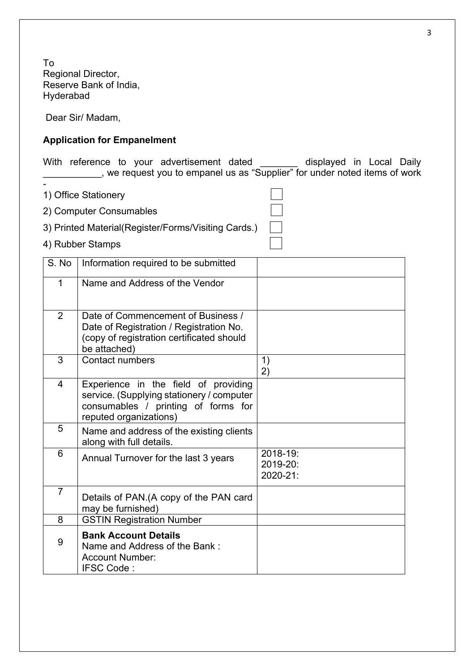To Regional Director, Reserve Bank of India, Hyderabad

Dear Sir/ Madam,

### **Application for Empanelment**

With reference to your advertisement dated \_\_\_\_\_\_\_ displayed in Local Daily \_\_\_\_\_\_\_\_\_\_\_, we request you to empanel us as "Supplier" for under noted items of work

1) Office Stationery

-

2) Computer Consumables

3) Printed Material(Register/Forms/Visiting Cards.)

4) Rubber Stamps

| S. No          | Information required to be submitted                                                                                                               |                                  |
|----------------|----------------------------------------------------------------------------------------------------------------------------------------------------|----------------------------------|
| 1              | Name and Address of the Vendor                                                                                                                     |                                  |
| $\overline{2}$ | Date of Commencement of Business /<br>Date of Registration / Registration No.<br>(copy of registration certificated should<br>be attached)         |                                  |
| 3              | <b>Contact numbers</b>                                                                                                                             | 1)<br>2)                         |
| 4              | Experience in the field of providing<br>service. (Supplying stationery / computer<br>consumables / printing of forms for<br>reputed organizations) |                                  |
| 5              | Name and address of the existing clients<br>along with full details.                                                                               |                                  |
| 6              | Annual Turnover for the last 3 years                                                                                                               | 2018-19:<br>2019-20:<br>2020-21: |
| $\overline{7}$ | Details of PAN. (A copy of the PAN card<br>may be furnished)                                                                                       |                                  |
| 8              | <b>GSTIN Registration Number</b>                                                                                                                   |                                  |
| 9              | <b>Bank Account Details</b><br>Name and Address of the Bank:<br><b>Account Number:</b><br>IFSC Code:                                               |                                  |